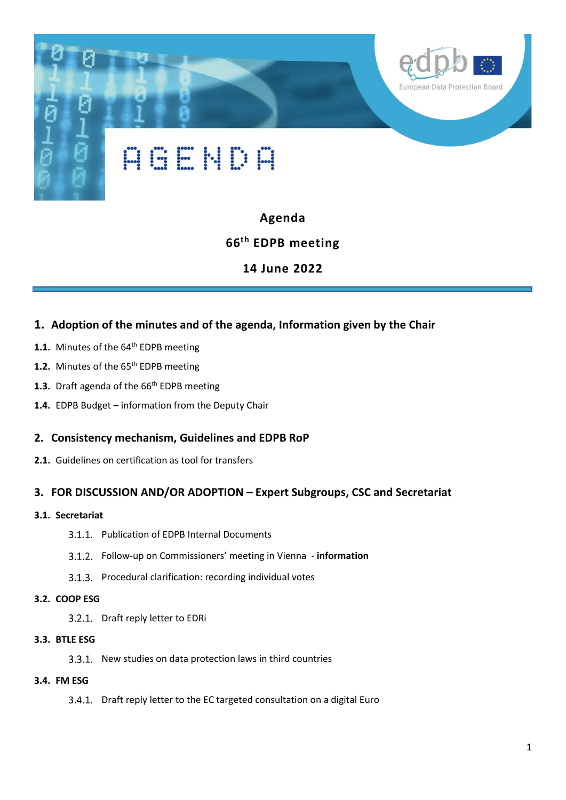

## **Agenda**

# **66th EDPB meeting**

# **14 June 2022**

## **1. Adoption of the minutes and of the agenda, Information given by the Chair**

- 1.1. Minutes of the 64<sup>th</sup> EDPB meeting
- 1.2. Minutes of the 65<sup>th</sup> EDPB meeting
- 1.3. Draft agenda of the 66<sup>th</sup> EDPB meeting
- **1.4.** EDPB Budget information from the Deputy Chair

### **2. Consistency mechanism, Guidelines and EDPB RoP**

**2.1.** Guidelines on certification as tool for transfers

## **3. FOR DISCUSSION AND/OR ADOPTION – Expert Subgroups, CSC and Secretariat**

#### **3.1. Secretariat**

- 3.1.1. Publication of EDPB Internal Documents
- Follow-up on Commissioners' meeting in Vienna **information**
- 3.1.3. Procedural clarification: recording individual votes
- **3.2. COOP ESG**
	- 3.2.1. Draft reply letter to EDRi
- **3.3. BTLE ESG**
	- 3.3.1. New studies on data protection laws in third countries
- **3.4. FM ESG**
	- 3.4.1. Draft reply letter to the EC targeted consultation on a digital Euro